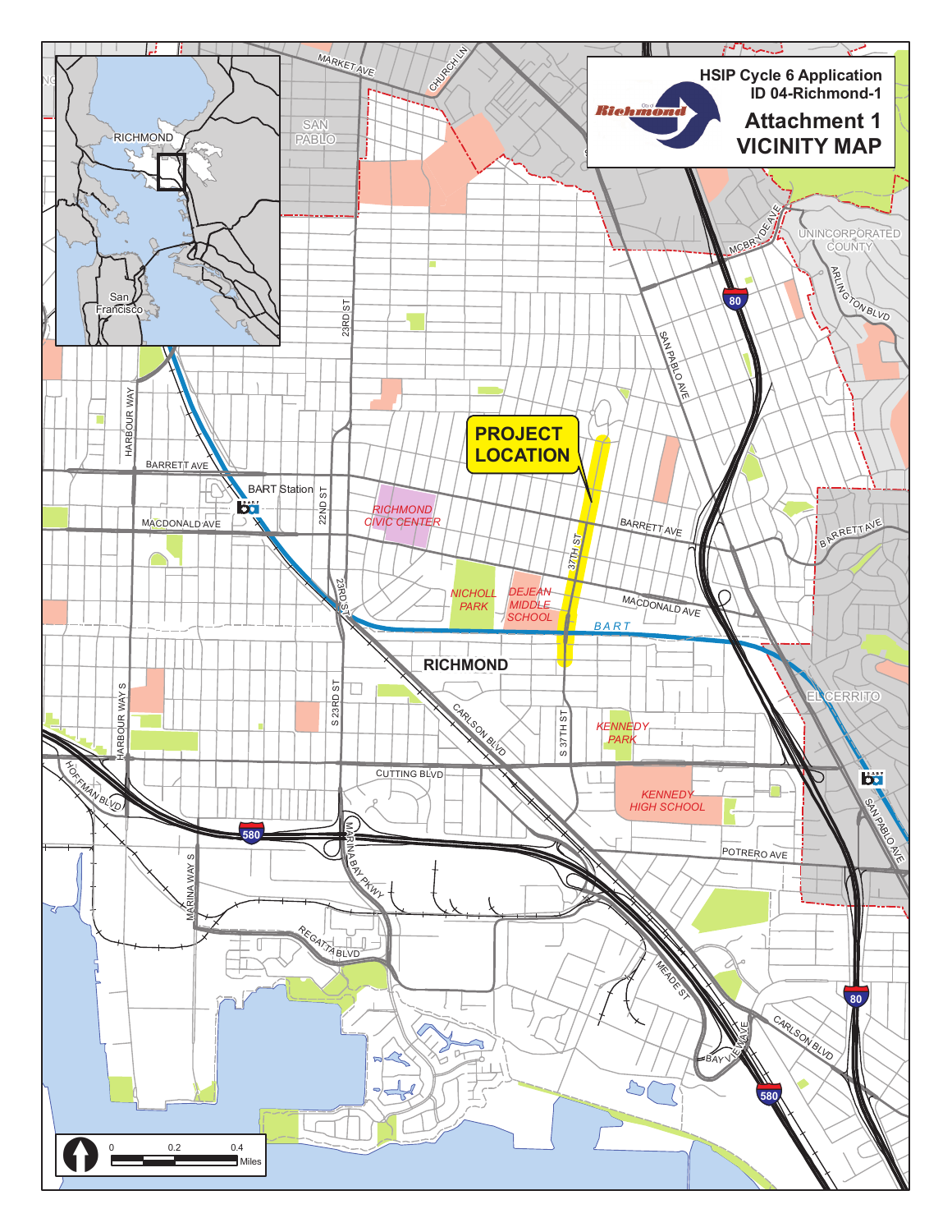